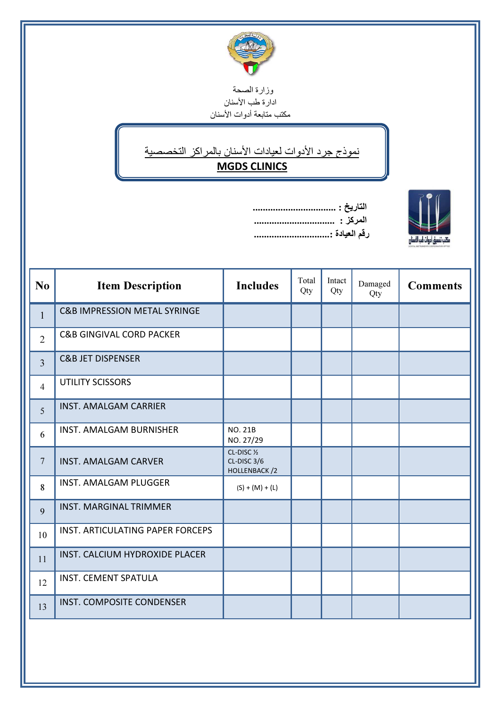

وزارة الصحة رر ر<br>ادار ة طب الأسنان مكتب متابعة أدوات الأسنان

İ

## نموذج جرد الأدوات لعيادات الأسنان بالمراكز التخصصية

## MGDS CLINICS

| التاريا |             |
|---------|-------------|
| المركز  |             |
| رقم الـ | لها السنارر |

Í

SPINGE<br>SPINGE

| N <sub>o</sub>  | <b>Item Description</b>                 | <b>Includes</b>                                              | Total<br>Qty | Intact<br>Qty | Damaged<br>Qty | <b>Comments</b> |
|-----------------|-----------------------------------------|--------------------------------------------------------------|--------------|---------------|----------------|-----------------|
| $\mathbf{1}$    | <b>C&amp;B IMPRESSION METAL SYRINGE</b> |                                                              |              |               |                |                 |
| $\overline{2}$  | <b>C&amp;B GINGIVAL CORD PACKER</b>     |                                                              |              |               |                |                 |
| $\overline{3}$  | <b>C&amp;B JET DISPENSER</b>            |                                                              |              |               |                |                 |
| $\overline{4}$  | <b>UTILITY SCISSORS</b>                 |                                                              |              |               |                |                 |
| 5               | <b>INST. AMALGAM CARRIER</b>            |                                                              |              |               |                |                 |
| 6               | <b>INST. AMALGAM BURNISHER</b>          | <b>NO. 21B</b><br>NO. 27/29                                  |              |               |                |                 |
| $7\phantom{.0}$ | <b>INST. AMALGAM CARVER</b>             | CL-DISC <sub>1/2</sub><br>CL-DISC 3/6<br><b>HOLLENBACK/2</b> |              |               |                |                 |
| 8               | <b>INST. AMALGAM PLUGGER</b>            | $(S) + (M) + (L)$                                            |              |               |                |                 |
| 9               | <b>INST. MARGINAL TRIMMER</b>           |                                                              |              |               |                |                 |
| 10              | INST. ARTICULATING PAPER FORCEPS        |                                                              |              |               |                |                 |
| 11              | INST. CALCIUM HYDROXIDE PLACER          |                                                              |              |               |                |                 |
| 12              | <b>INST. CEMENT SPATULA</b>             |                                                              |              |               |                |                 |
| 13              | INST. COMPOSITE CONDENSER               |                                                              |              |               |                |                 |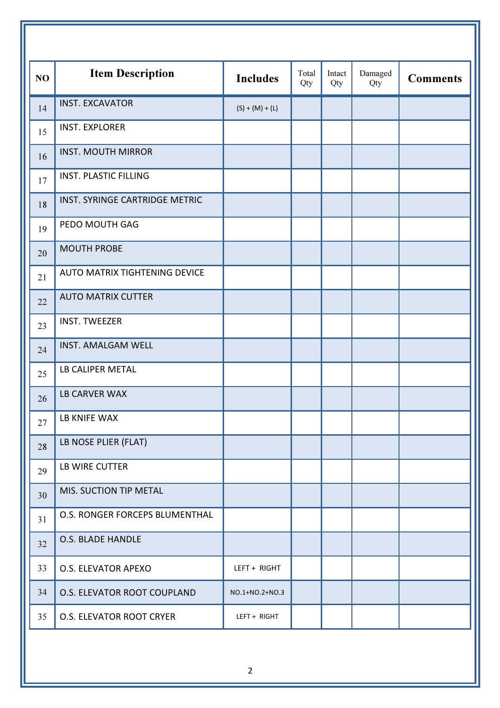| NO | <b>Item Description</b>        | <b>Includes</b>   | Total<br>Qty | Intact<br>Qty | Damaged<br>Qty | <b>Comments</b> |
|----|--------------------------------|-------------------|--------------|---------------|----------------|-----------------|
| 14 | <b>INST. EXCAVATOR</b>         | $(S) + (M) + (L)$ |              |               |                |                 |
| 15 | <b>INST. EXPLORER</b>          |                   |              |               |                |                 |
| 16 | <b>INST. MOUTH MIRROR</b>      |                   |              |               |                |                 |
| 17 | <b>INST. PLASTIC FILLING</b>   |                   |              |               |                |                 |
| 18 | INST. SYRINGE CARTRIDGE METRIC |                   |              |               |                |                 |
| 19 | PEDO MOUTH GAG                 |                   |              |               |                |                 |
| 20 | <b>MOUTH PROBE</b>             |                   |              |               |                |                 |
| 21 | AUTO MATRIX TIGHTENING DEVICE  |                   |              |               |                |                 |
| 22 | <b>AUTO MATRIX CUTTER</b>      |                   |              |               |                |                 |
| 23 | <b>INST. TWEEZER</b>           |                   |              |               |                |                 |
| 24 | <b>INST. AMALGAM WELL</b>      |                   |              |               |                |                 |
| 25 | LB CALIPER METAL               |                   |              |               |                |                 |
| 26 | <b>LB CARVER WAX</b>           |                   |              |               |                |                 |
| 27 | LB KNIFE WAX                   |                   |              |               |                |                 |
| 28 | LB NOSE PLIER (FLAT)           |                   |              |               |                |                 |
| 29 | LB WIRE CUTTER                 |                   |              |               |                |                 |
| 30 | MIS. SUCTION TIP METAL         |                   |              |               |                |                 |
| 31 | O.S. RONGER FORCEPS BLUMENTHAL |                   |              |               |                |                 |
| 32 | O.S. BLADE HANDLE              |                   |              |               |                |                 |
| 33 | O.S. ELEVATOR APEXO            | LEFT + RIGHT      |              |               |                |                 |
| 34 | O.S. ELEVATOR ROOT COUPLAND    | NO.1+NO.2+NO.3    |              |               |                |                 |
| 35 | O.S. ELEVATOR ROOT CRYER       | LEFT + RIGHT      |              |               |                |                 |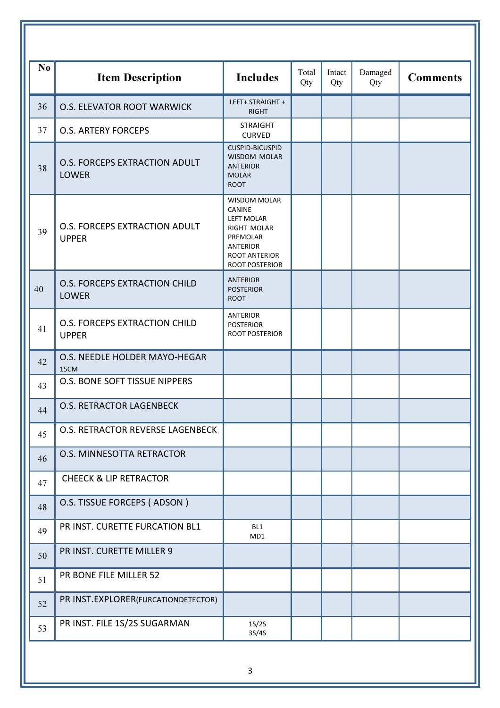| N <sub>0</sub> | <b>Item Description</b>                              | <b>Includes</b>                                                                                                                                          | Total | Intact | Damaged | <b>Comments</b> |
|----------------|------------------------------------------------------|----------------------------------------------------------------------------------------------------------------------------------------------------------|-------|--------|---------|-----------------|
|                |                                                      |                                                                                                                                                          | Qty   | Qty    | Qty     |                 |
| 36             | <b>O.S. ELEVATOR ROOT WARWICK</b>                    | LEFT+ STRAIGHT +<br><b>RIGHT</b>                                                                                                                         |       |        |         |                 |
| 37             | <b>O.S. ARTERY FORCEPS</b>                           | <b>STRAIGHT</b><br><b>CURVED</b>                                                                                                                         |       |        |         |                 |
| 38             | <b>O.S. FORCEPS EXTRACTION ADULT</b><br><b>LOWER</b> | <b>CUSPID-BICUSPID</b><br><b>WISDOM MOLAR</b><br><b>ANTERIOR</b><br><b>MOLAR</b><br><b>ROOT</b>                                                          |       |        |         |                 |
| 39             | O.S. FORCEPS EXTRACTION ADULT<br><b>UPPER</b>        | <b>WISDOM MOLAR</b><br><b>CANINE</b><br><b>LEFT MOLAR</b><br>RIGHT MOLAR<br>PREMOLAR<br><b>ANTERIOR</b><br><b>ROOT ANTERIOR</b><br><b>ROOT POSTERIOR</b> |       |        |         |                 |
| 40             | <b>O.S. FORCEPS EXTRACTION CHILD</b><br><b>LOWER</b> | <b>ANTERIOR</b><br><b>POSTERIOR</b><br><b>ROOT</b>                                                                                                       |       |        |         |                 |
| 41             | <b>O.S. FORCEPS EXTRACTION CHILD</b><br><b>UPPER</b> | <b>ANTERIOR</b><br><b>POSTERIOR</b><br><b>ROOT POSTERIOR</b>                                                                                             |       |        |         |                 |
| 42             | O.S. NEEDLE HOLDER MAYO-HEGAR<br>15CM                |                                                                                                                                                          |       |        |         |                 |
| 43             | <b>O.S. BONE SOFT TISSUE NIPPERS</b>                 |                                                                                                                                                          |       |        |         |                 |
| 44             | <b>O.S. RETRACTOR LAGENBECK</b>                      |                                                                                                                                                          |       |        |         |                 |
| 45             | O.S. RETRACTOR REVERSE LAGENBECK                     |                                                                                                                                                          |       |        |         |                 |
| 46             | O.S. MINNESOTTA RETRACTOR                            |                                                                                                                                                          |       |        |         |                 |
| 47             | <b>CHEECK &amp; LIP RETRACTOR</b>                    |                                                                                                                                                          |       |        |         |                 |
| 48             | O.S. TISSUE FORCEPS (ADSON)                          |                                                                                                                                                          |       |        |         |                 |
| 49             | PR INST. CURETTE FURCATION BL1                       | BL1<br>MD1                                                                                                                                               |       |        |         |                 |
| 50             | PR INST. CURETTE MILLER 9                            |                                                                                                                                                          |       |        |         |                 |
| 51             | PR BONE FILE MILLER 52                               |                                                                                                                                                          |       |        |         |                 |
| 52             | PR INST.EXPLORER(FURCATIONDETECTOR)                  |                                                                                                                                                          |       |        |         |                 |
| 53             | PR INST. FILE 1S/2S SUGARMAN                         | 1S/2S<br>3S/4S                                                                                                                                           |       |        |         |                 |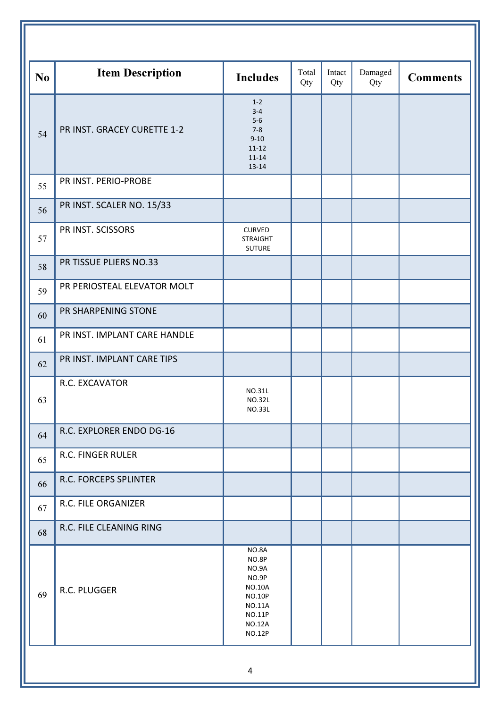| N <sub>o</sub> | <b>Item Description</b>      | <b>Includes</b>                                                                                                                        | Total<br>Qty | Intact<br>Qty | Damaged<br>Qty | <b>Comments</b> |
|----------------|------------------------------|----------------------------------------------------------------------------------------------------------------------------------------|--------------|---------------|----------------|-----------------|
| 54             | PR INST. GRACEY CURETTE 1-2  | $1 - 2$<br>$3 - 4$<br>$5-6$<br>$7 - 8$<br>$9 - 10$<br>$11 - 12$<br>$11 - 14$<br>$13 - 14$                                              |              |               |                |                 |
| 55             | PR INST. PERIO-PROBE         |                                                                                                                                        |              |               |                |                 |
| 56             | PR INST. SCALER NO. 15/33    |                                                                                                                                        |              |               |                |                 |
| 57             | PR INST. SCISSORS            | <b>CURVED</b><br><b>STRAIGHT</b><br><b>SUTURE</b>                                                                                      |              |               |                |                 |
| 58             | PR TISSUE PLIERS NO.33       |                                                                                                                                        |              |               |                |                 |
| 59             | PR PERIOSTEAL ELEVATOR MOLT  |                                                                                                                                        |              |               |                |                 |
| 60             | PR SHARPENING STONE          |                                                                                                                                        |              |               |                |                 |
| 61             | PR INST. IMPLANT CARE HANDLE |                                                                                                                                        |              |               |                |                 |
| 62             | PR INST. IMPLANT CARE TIPS   |                                                                                                                                        |              |               |                |                 |
| 63             | R.C. EXCAVATOR               | <b>NO.31L</b><br><b>NO.32L</b><br><b>NO.33L</b>                                                                                        |              |               |                |                 |
| 64             | R.C. EXPLORER ENDO DG-16     |                                                                                                                                        |              |               |                |                 |
| 65             | R.C. FINGER RULER            |                                                                                                                                        |              |               |                |                 |
| 66             | R.C. FORCEPS SPLINTER        |                                                                                                                                        |              |               |                |                 |
| 67             | R.C. FILE ORGANIZER          |                                                                                                                                        |              |               |                |                 |
| 68             | R.C. FILE CLEANING RING      |                                                                                                                                        |              |               |                |                 |
| 69             | R.C. PLUGGER                 | NO.8A<br>NO.8P<br>NO.9A<br>NO.9P<br><b>NO.10A</b><br><b>NO.10P</b><br><b>NO.11A</b><br><b>NO.11P</b><br><b>NO.12A</b><br><b>NO.12P</b> |              |               |                |                 |